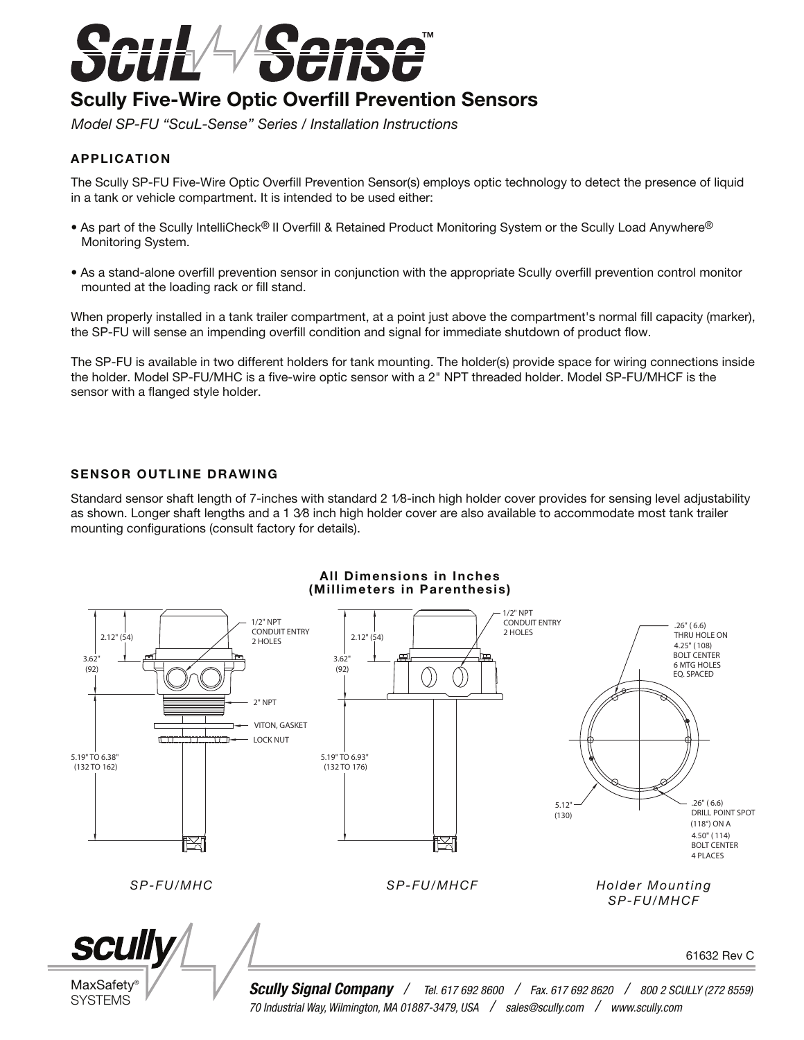

# **Scully Five-Wire Optic Overfill Prevention Sensors**

*Model SP-FU "ScuL-Sense" Series / Installation Instructions*

# APPLICATION

The Scully SP-FU Five-Wire Optic Overfill Prevention Sensor(s) employs optic technology to detect the presence of liquid in a tank or vehicle compartment. It is intended to be used either:

- As part of the Scully IntelliCheck® II Overfill & Retained Product Monitoring System or the Scully Load Anywhere® Monitoring System.
- As a stand-alone overfill prevention sensor in conjunction with the appropriate Scully overfill prevention control monitor mounted at the loading rack or fill stand.

When properly installed in a tank trailer compartment, at a point just above the compartment's normal fill capacity (marker), the SP-FU will sense an impending overfill condition and signal for immediate shutdown of product flow.

The SP-FU is available in two different holders for tank mounting. The holder(s) provide space for wiring connections inside the holder. Model SP-FU/MHC is a five-wire optic sensor with a 2" NPT threaded holder. Model SP-FU/MHCF is the sensor with a flanged style holder.

#### SENSOR OUTLINE DRAWING

Standard sensor shaft length of 7-inches with standard 2 1⁄8-inch high holder cover provides for sensing level adjustability as shown. Longer shaft lengths and a 1 3⁄8 inch high holder cover are also available to accommodate most tank trailer mounting configurations (consult factory for details).

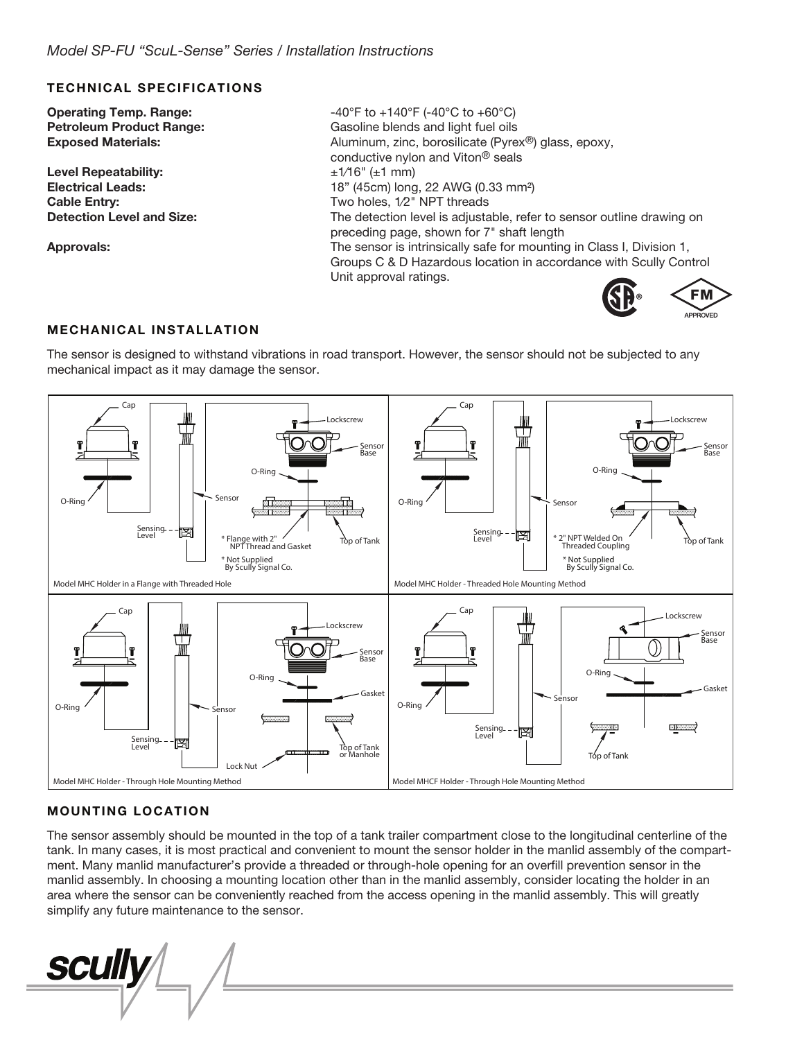#### TECHNICAL SPECIFICATIONS

**Operating Temp. Range:**  $-40^{\circ}F$  to  $+140^{\circ}F$  (-40 $^{\circ}C$  to  $+60^{\circ}C$ )

Level Repeatability:  $\pm 1/16$ "  $(\pm 1 \text{ mm})$ 

Petroleum Product Range: Gasoline blends and light fuel oils **Exposed Materials:** Aluminum, zinc, borosilicate (Pyrex<sup>®</sup>) glass, epoxy, conductive nylon and Viton® seals Electrical Leads: 18" (45cm) long, 22 AWG (0.33 mm²) Cable Entry: Cable Entry: Two holes, 1/2" NPT threads Detection Level and Size: The detection level is adjustable, refer to sensor outline drawing on preceding page, shown for 7" shaft length Approvals: The sensor is intrinsically safe for mounting in Class I, Division 1, Groups C & D Hazardous location in accordance with Scully Control Unit approval ratings.



#### MECHANICAL INSTALLATION

The sensor is designed to withstand vibrations in road transport. However, the sensor should not be subjected to any mechanical impact as it may damage the sensor.



# MOUNTING LOCATION

The sensor assembly should be mounted in the top of a tank trailer compartment close to the longitudinal centerline of the tank. In many cases, it is most practical and convenient to mount the sensor holder in the manlid assembly of the compartment. Many manlid manufacturer's provide a threaded or through-hole opening for an overfill prevention sensor in the manlid assembly. In choosing a mounting location other than in the manlid assembly, consider locating the holder in an area where the sensor can be conveniently reached from the access opening in the manlid assembly. This will greatly simplify any future maintenance to the sensor.

**SCUIIV**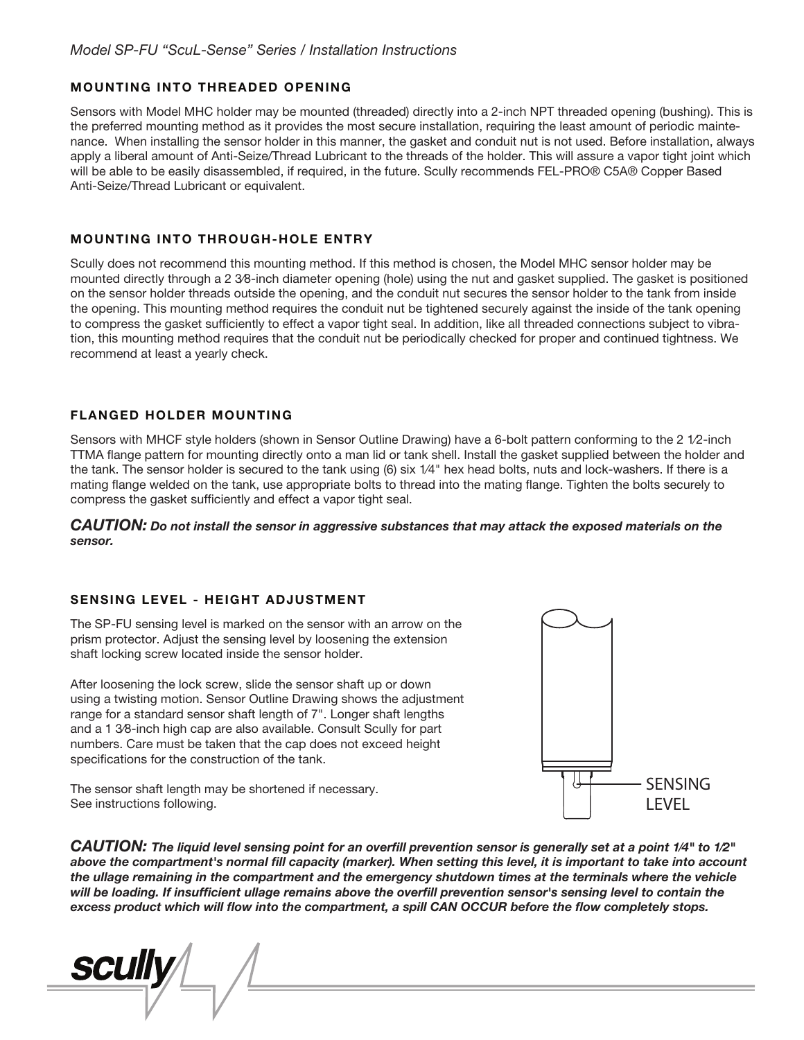# MOUNTING INTO THREADED OPENING

Sensors with Model MHC holder may be mounted (threaded) directly into a 2-inch NPT threaded opening (bushing). This is the preferred mounting method as it provides the most secure installation, requiring the least amount of periodic maintenance. When installing the sensor holder in this manner, the gasket and conduit nut is not used. Before installation, always apply a liberal amount of Anti-Seize/Thread Lubricant to the threads of the holder. This will assure a vapor tight joint which will be able to be easily disassembled, if required, in the future. Scully recommends FEL-PRO® C5A® Copper Based Anti-Seize/Thread Lubricant or equivalent.

# MOUNTING INTO THROUGH-HOLE ENTRY

Scully does not recommend this mounting method. If this method is chosen, the Model MHC sensor holder may be mounted directly through a 2 3⁄8-inch diameter opening (hole) using the nut and gasket supplied. The gasket is positioned on the sensor holder threads outside the opening, and the conduit nut secures the sensor holder to the tank from inside the opening. This mounting method requires the conduit nut be tightened securely against the inside of the tank opening to compress the gasket sufficiently to effect a vapor tight seal. In addition, like all threaded connections subject to vibration, this mounting method requires that the conduit nut be periodically checked for proper and continued tightness. We recommend at least a yearly check.

# FLANGED HOLDER MOUNTING

Sensors with MHCF style holders (shown in Sensor Outline Drawing) have a 6-bolt pattern conforming to the 2 1⁄2-inch TTMA flange pattern for mounting directly onto a man lid or tank shell. Install the gasket supplied between the holder and the tank. The sensor holder is secured to the tank using (6) six 1⁄4" hex head bolts, nuts and lock-washers. If there is a mating flange welded on the tank, use appropriate bolts to thread into the mating flange. Tighten the bolts securely to compress the gasket sufficiently and effect a vapor tight seal.

#### *CAUTION: Do not install the sensor in aggressive substances that may attack the exposed materials on the sensor.*

#### SENSING LEVEL - HEIGHT ADJUSTMENT

The SP-FU sensing level is marked on the sensor with an arrow on the prism protector. Adjust the sensing level by loosening the extension shaft locking screw located inside the sensor holder.

After loosening the lock screw, slide the sensor shaft up or down using a twisting motion. Sensor Outline Drawing shows the adjustment range for a standard sensor shaft length of 7". Longer shaft lengths and a 1 3⁄8-inch high cap are also available. Consult Scully for part numbers. Care must be taken that the cap does not exceed height specifications for the construction of the tank.

The sensor shaft length may be shortened if necessary. See instructions following.



*CAUTION: The liquid level sensing point for an overll prevention sensor is generally set at a point 1⁄4" to 1⁄2"*  above the compartment's normal fill capacity (marker). When setting this level, it is important to take into account *the ullage remaining in the compartment and the emergency shutdown times at the terminals where the vehicle*  will be loading. If insufficient ullage remains above the overfill prevention sensor's sensing level to contain the *excess product which will flow into the compartment, a spill CAN OCCUR before the flow completely stops.* 

**SCUII**